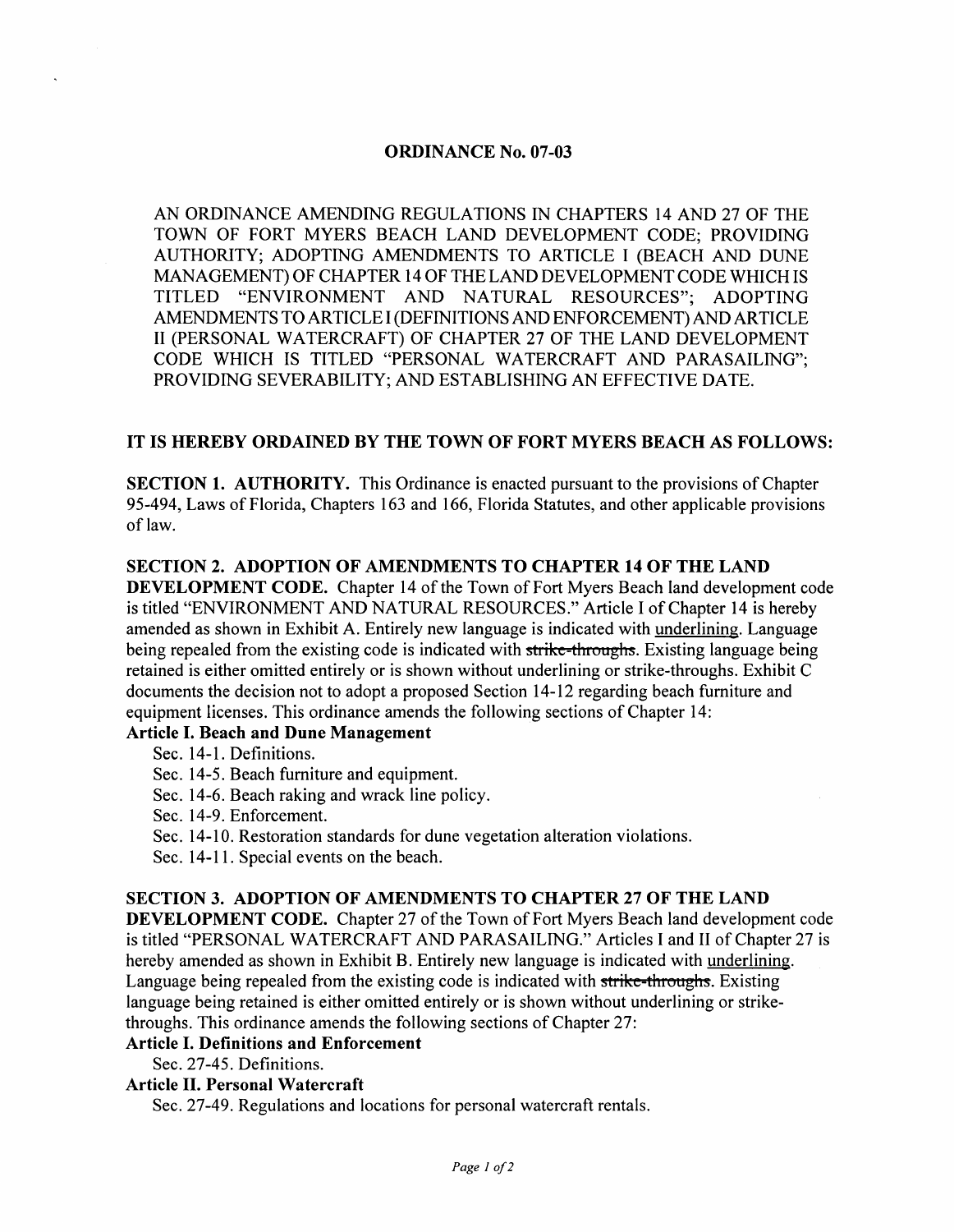#### ORDINANCE No. 07-03

AN ORDINANCE AMENDING REGULATIONS IN CHAPTERS 14 AND 27 OF THE TOWN OF FORT MYERS BEACH LAND DEVELOPMENT CODE; PROVIDING AUTHORITY; ADOPTING AMENDMENTS TO ARTICLE I (BEACH AND DUNE MANAGEMENT) OF CHAPTER 14 OF THE LAND DEVELOPMENT CODE WHICH IS TITLED "ENVIRONMENT AND NATURAL RESOURCES"; ADOPTING AMENDMENTS TO ARTICLE I (DEFINITIONS AND ENFORCEMENT) AND ARTICLE II (PERSONAL WATERCRAFT) OF CHAPTER 27 OF THE LAND DEVELOPMENT CODE WHICH IS TITLED "PERSONAL WATERCRAFT AND PARASAILING"; PROVIDING SEVERABILITY; AND ESTABLISHING AN EFFECTIVE DATE.

#### IT IS HEREBY ORDAINED BY THE TOWN OF FORT MYERS BEACH AS FOLLOWS:

SECTION 1. AUTHORITY. This Ordinance is enacted pursuant to the provisions of Chapter 95-494, Laws of Florida, Chapters 163 and 166, Florida Statutes, and other applicable provisions of law.

#### SECTION 2. ADOPTION OF AMENDMENTS TO CHAPTER 14 OF THE LAND

DEVELOPMENT CODE. Chapter 14 of the Town of Fort Myers Beach land development code is titled "ENVIRONMENT AND NATURAL RESOURCES." Article I of Chapter 14 is hereby amended as shown in Exhibit A. Entirely new language is indicated with underlining. Language being repealed from the existing code is indicated with strike-throughs. Existing language being retained is either omitted entirely or is shown without underlining or strike-throughs. Exhibit C documents the decision not to adopt a proposed Section 14-12 regarding beach furniture and equipment licenses. This ordinance amends the following sections of Chapter 14:

#### Article I. Beach and Dune Management

- Sec. 14-1. Definitions.
- Sec. 14-5. Beach furniture and equipment.
- Sec. 14-6. Beach raking and wrack line policy.
- Sec. 14-9. Enforcement.
- Sec. 14-10. Restoration standards for dune vegetation alteration violations.
- Sec. 14-11. Special events on the beach.

#### SECTION 3. ADOPTION OF AMENDMENTS TO CHAPTER 27 OF THE LAND

DEVELOPMENT CODE. Chapter 27 of the Town of Fort Myers Beach land development code is titled "PERSONAL WATERCRAFT AND PARASAILING." Articles I and II of Chapter 27 is hereby amended as shown in Exhibit B. Entirely new language is indicated with underlining. Language being repealed from the existing code is indicated with strike-throughs. Existing language being retained is either omitted entirely or is shown without underlining or strikethroughs. This ordinance amends the following sections of Chapter 27:

#### Article I. Definitions and Enforcement

Sec. 27-45. Definitions.

Article II. Personal Watercraft

Sec. 27-49. Regulations and locations for personal watercraft rentals.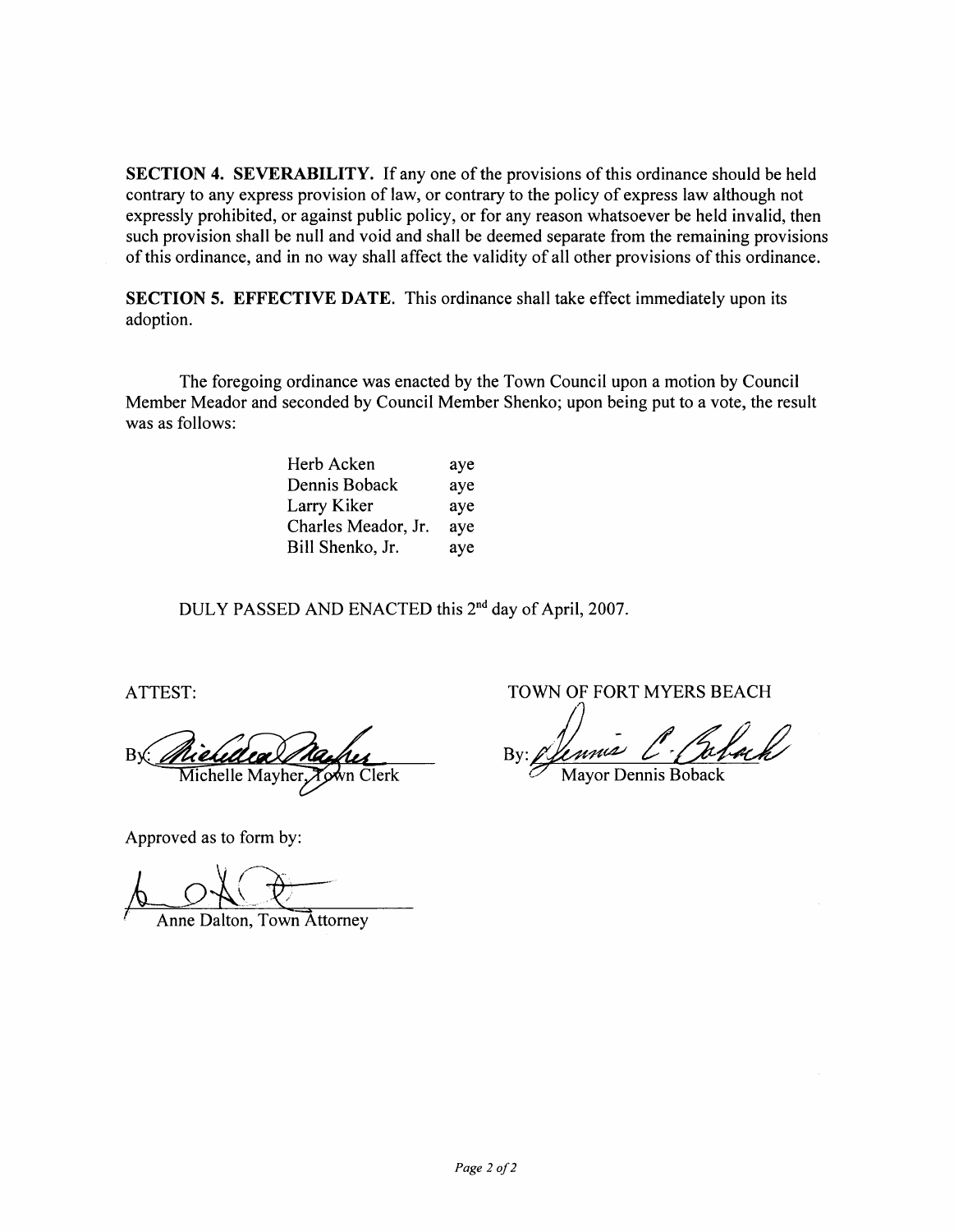SECTION 4. SEVERABILITY. If any one of the provisions of this ordinance should be held contrary to any express provision of law, or contrary to the policy of express law although not expressly prohibited, or against public policy, or for any reason whatsoever be held invalid, then such provision shall be null and void and shall be deemed separate from the remaining provisions of this ordinance, and in no way shall affect the validity of all other provisions of this ordinance.

SECTION 5. EFFECTIVE DATE. This ordinance shall take effect immediately upon its adoption.

The foregoing ordinance was enacted by the Town Council upon a motion by Council Member Meador and seconded by Council Member Shenko; upon being put to a vote, the result was as follows:

| Herb Acken          | aye |
|---------------------|-----|
| Dennis Boback       | aye |
| Larry Kiker         | aye |
| Charles Meador, Jr. | aye |
| Bill Shenko, Jr.    | aye |

DULY PASSED AND ENACTED this 2nd day of April, 2007.

Michelle Mayher  $Clerk$ 

Approved as to form by:

Anne Dalton, Town Attorney

ATTEST: TOWN OF FORT MYERS BEACH

Mayor Dennis Boback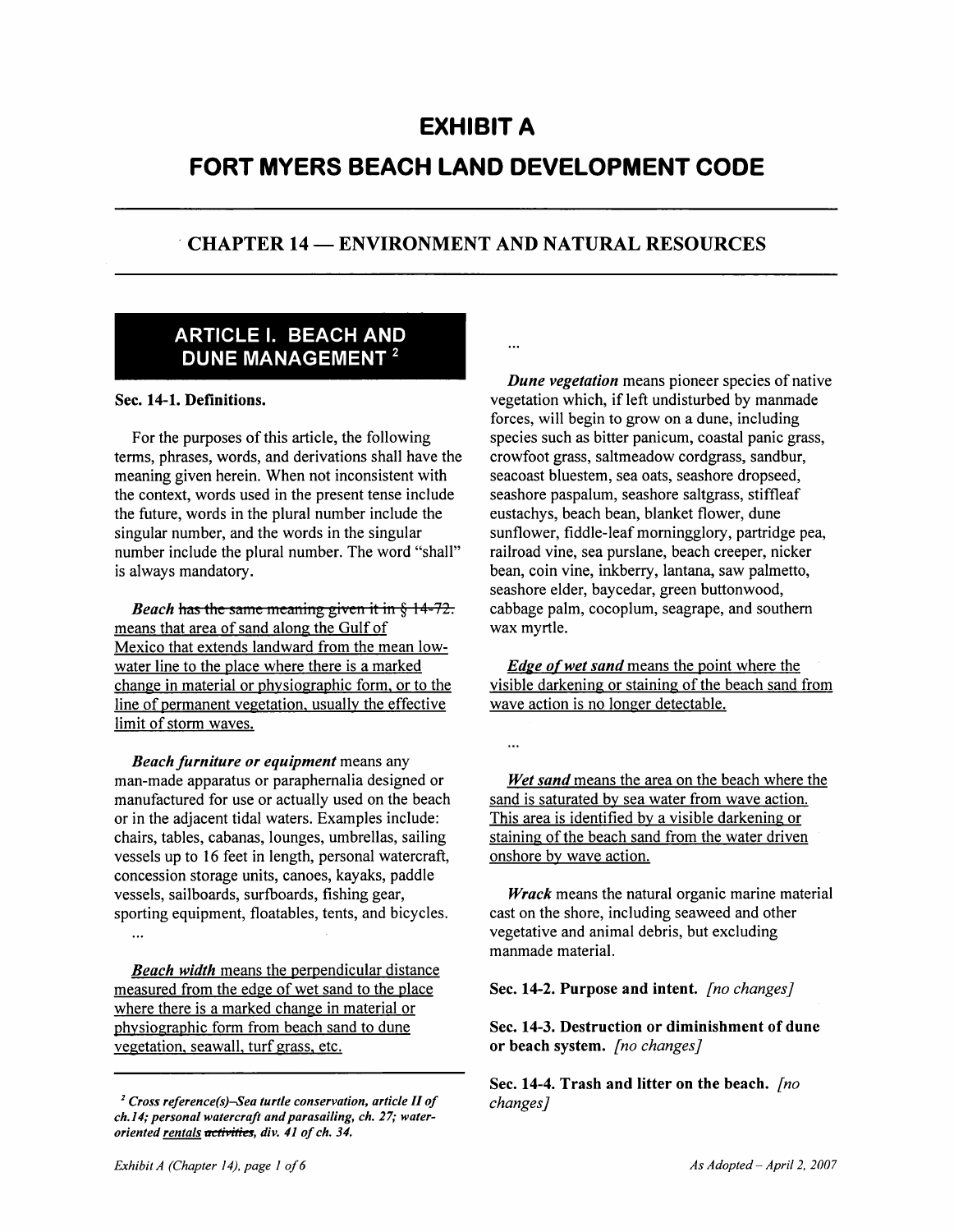## **EXHIBIT A**

# **FORT MYERS BEACH LAND DEVELOPMENT CODE**

### CHAPTER 14 - ENVIRONMENT AND NATURAL RESOURCES

### ARTICLE I. BEACH AND DUNE MANAGEMENT<sup>2</sup>

#### Sec. 14-1. Definitions.

For the purposes of this article, the following terms, phrases, words, and derivations shall have the meaning given herein. When not inconsistent with the context, words used in the present tense include the future, words in the plural number include the singular number, and the words in the singular number include the plural number. The word "shall" is always mandatory.

*Beach* has the same meaning given it in § 14-72. means that area of sand along the Gulf of Mexico that extends landward from the mean lowwater line to the place where there is a marked change in material or physiographic form. or to the line of permanent vegetation. usually the effective limit of storm waves.

*Beach furniture or equipment* means any man-made apparatus or paraphernalia designed or manufactured for use or actually used on the beach or in the adjacent tidal waters. Examples include: chairs, tables, cabanas, lounges, umbrellas, sailing vessels up to 16 feet in length, personal watercraft, concession storage units, canoes, kayaks, paddle vessels, sailboards, surfboards, fishing gear, sporting equipment, floatables, tents, and bicycles.

*Beach width* means the perpendicular distance measured from the edge of wet sand to the place where there is a marked change in material or physiographic form from beach sand to dune vegetation. seawall. turf grass. etc.

*2 Cross reference(s)-Sea turtle conservation, article II of ch.14; personal watercraft and parasailing, ch.* 27; *wateroriented rentals activities, div.* 41 *of ch. 34.* 

 $\ddotsc$ 

*Dune vegetation* means pioneer species of native vegetation which, if left undisturbed by manmade forces, will begin to grow on a dune, including species such as bitter panicum, coastal panic grass, crowfoot grass, saltmeadow cordgrass, sandbur, seacoast bluestem, sea oats, seashore dropseed, seashore paspalum, seashore saltgrass, stiffleaf eustachys, beach bean, blanket flower, dune sunflower, fiddle-leaf morningglory, partridge pea, railroad vine, sea purslane, beach creeper, nicker bean, coin vine, inkberry, lantana, saw palmetto, seashore elder, baycedar, green buttonwood, cabbage palm, cocoplum, seagrape, and southern wax myrtle.

*Edge of wet sand* means the point where the visible darkening or staining of the beach sand from wave action is no longer detectable.

*Wet sand* means the area on the beach where the sand is saturated by sea water from wave action. This area is identified by a visible darkening or staining of the beach sand from the water driven onshore by wave action.

*Wrack* means the natural organic marine material cast on the shore, including seaweed and other vegetative and animal debris, but excluding manmade material.

#### Sec. 14-2. Purpose and intent. *[no changes}*

Sec. 14-3. Destruction or diminishment of dune or beach system. *[no changes}* 

Sec. 14-4. Trash and litter on the beach. *[no changes}*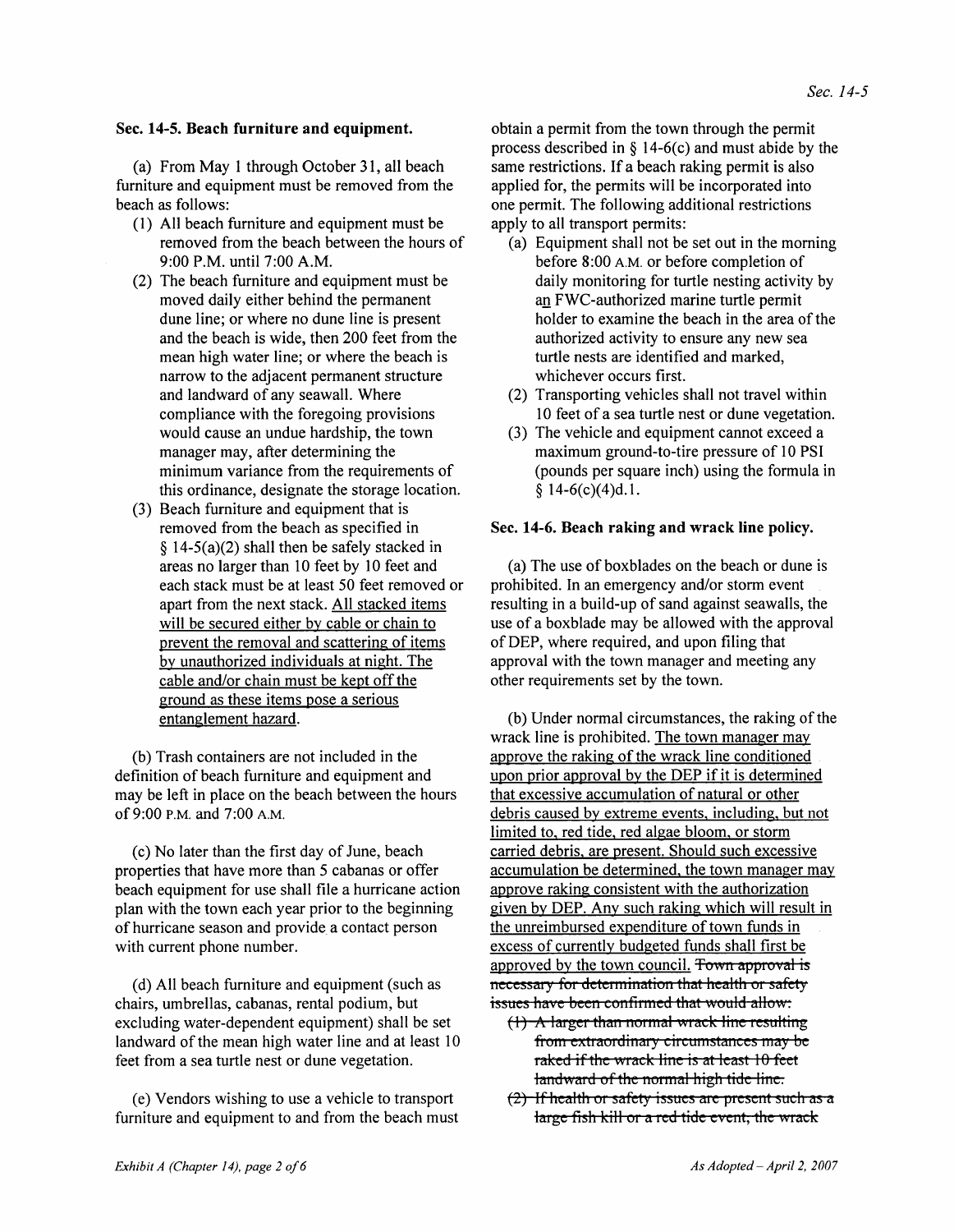#### Sec. 14-5. Beach furniture and equipment.

(a) From May 1 through October 31, all beach furniture and equipment must be removed from the beach as follows:

- (1) All beach furniture and equipment must be removed from the beach between the hours of 9:00 P.M. until 7:00 A.M.
- (2) The beach furniture and equipment must be moved daily either behind the permanent dune line; or where no dune line is present and the beach is wide, then 200 feet from the mean high water line; or where the beach is narrow to the adjacent permanent structure and landward of any seawall. Where compliance with the foregoing provisions would cause an undue hardship, the town manager may, after determining the minimum variance from the requirements of this ordinance, designate the storage location.
- (3) Beach furniture and equipment that is removed from the beach as specified in § 14-5(a)(2) shall then be safely stacked in areas no larger than 10 feet by 10 feet and each stack must be at least 50 feet removed or apart from the next stack. All stacked items will be secured either by cable or chain to prevent the removal and scattering of items by unauthorized individuals at night. The cable and/or chain must be kept off the ground as these items pose a serious entanglement hazard.

(b) Trash containers are not included in the definition of beach furniture and equipment and may be left in place on the beach between the hours of 9:00 P.M. and 7:00 A.M.

(c) No later than the first day of June, beach properties that have more than 5 cabanas or offer beach equipment for use shall file a hurricane action plan with the town each year prior to the beginning of hurricane season and provide a contact person with current phone number.

(d) All beach furniture and equipment (such as chairs, umbrellas, cabanas, rental podium, but excluding water-dependent equipment) shall be set landward of the mean high water line and at least 10 feet from a sea turtle nest or dune vegetation.

(e) Vendors wishing to use a vehicle to transport furniture and equipment to and from the beach must obtain a permit from the town through the permit process described in  $\delta$  14-6(c) and must abide by the same restrictions. If a beach raking permit is also applied for, the permits will be incorporated into one permit. The following additional restrictions apply to all transport permits:

- (a) Equipment shall not be set out in the morning before 8:00 A.M. or before completion of daily monitoring for turtle nesting activity by an FWC-authorized marine turtle permit holder to examine the beach in the area of the authorized activity to ensure any new sea turtle nests are identified and marked, whichever occurs first.
- (2) Transporting vehicles shall not travel within 10 feet of a sea turtle nest or dune vegetation.
- (3) The vehicle and equipment cannot exceed a maximum ground-to-tire pressure of 10 PSI (pounds per square inch) using the formula in  $$14-6(c)(4)d.1.$

#### Sec. 14-6. Beach raking and wrack line policy.

(a) The use of boxblades on the beach or dune is prohibited. In an emergency and/or storm event resulting in a build-up of sand against seawalls, the use of a boxblade may be allowed with the approval of DEP, where required, and upon filing that approval with the town manager and meeting any other requirements set by the town.

(b) Under normal circumstances, the raking of the wrack line is prohibited. The town manager may approve the raking of the wrack line conditioned upon prior approval by the DEP if it is determined that excessive accumulation of natural or other debris caused by extreme events. including. but not limited to. red tide. red algae bloom. or storm carried debris. are present. Should such excessive accumulation be determined. the town manager may approve raking consistent with the authorization given by DEP. Any such raking which will result in the unreimbursed expenditure of town funds in excess of currently budgeted funds shall first be approved by the town council. Town approval is necessary for determination that health or safety issues have been confirmed that would allow:

- $(1)$  A larger than normal wrack line resulting from extraordinary circumstances may be raked if the wrack line is at least  $10$  feet landward of the normal high tide line.
- $(2)$  If health or safety issues are present such as a large fish kill or a red tide event, the wrack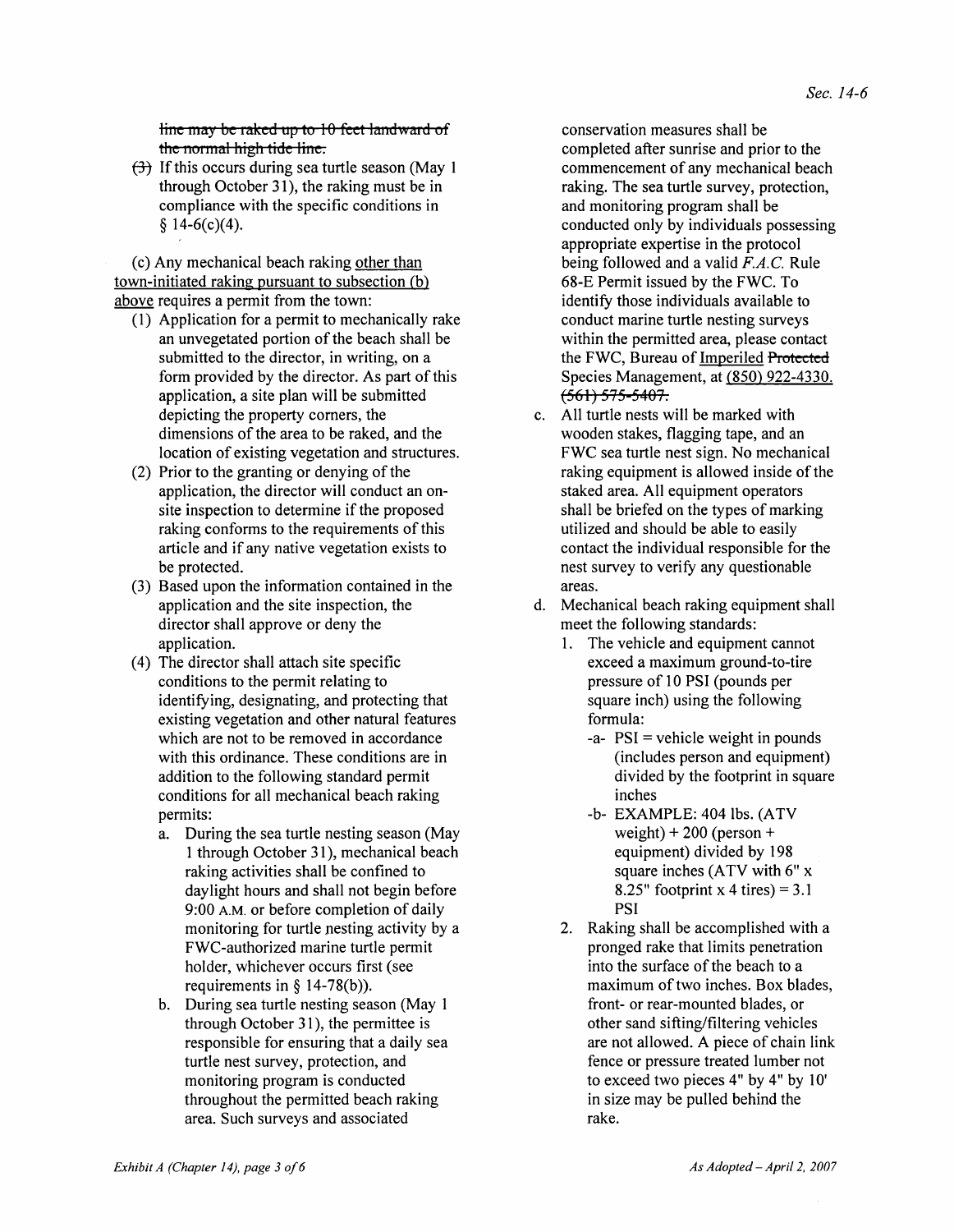line may be raked up to 10 feet landward of the normal high tide line.

 $f(\frac{1}{2})$  If this occurs during sea turtle season (May 1) through October 31), the raking must be in compliance with the specific conditions in  $$14-6(c)(4).$ 

(c) Any mechanical beach raking other than town-initiated raking pursuant to subsection (b) above requires a permit from the town:

- (1) Application for a permit to mechanically rake an unvegetated portion of the beach shall be submitted to the director, in writing, on a form provided by the director. As part of this application, a site plan will be submitted depicting the property comers, the dimensions of the area to be raked, and the location of existing vegetation and structures.
- (2) Prior to the granting or denying of the application, the director will conduct an onsite inspection to determine if the proposed raking conforms to the requirements of this article and if any native vegetation exists to be protected.
- (3) Based upon the information contained in the application and the site inspection, the director shall approve or deny the application.
- ( 4) The director shall attach site specific conditions to the permit relating to identifying, designating, and protecting that existing vegetation and other natural features which are not to be removed in accordance with this ordinance. These conditions are in addition to the following standard permit conditions for all mechanical beach raking permits:
	- a. During the sea turtle nesting season (May 1 through October 3 1), mechanical beach raking activities shall be confined to day light hours and shall not begin before 9:00 A.M. or before completion of daily monitoring for turtle nesting activity by a FWC-authorized marine turtle permit holder, whichever occurs first (see requirements in  $\S$  14-78(b)).
	- b. During sea turtle nesting season (May 1 through October 31), the permittee is responsible for ensuring that a daily sea turtle nest survey, protection, and monitoring program is conducted throughout the permitted beach raking area. Such surveys and associated

conservation measures shall be completed after sunrise and prior to the commencement of any mechanical beach raking. The sea turtle survey, protection, and monitoring program shall be conducted only by individuals possessing appropriate expertise in the protocol being followed and a valid  $F.A.C.$  Rule 68-E Permit issued by the FWC. To identify those individuals available to conduct marine turtle nesting surveys within the permitted area, please contact the FWC, Bureau of Imperiled Protected Species Management, at (850) 922-4330.  $\sqrt{561}$  575-5407.

- c. All turtle nests will be marked with wooden stakes, flagging tape, and an FWC sea turtle nest sign. No mechanical raking equipment is allowed inside of the staked area. All equipment operators shall be briefed on the types of marking utilized and should be able to easily contact the individual responsible for the nest survey to verify any questionable areas.
- d. Mechanical beach raking equipment shall meet the following standards:
	- 1. The vehicle and equipment cannot exceed a maximum ground-to-tire pressure of 10 PSI (pounds per square inch) using the following formula:
		- $-a$   $PSI$  = vehicle weight in pounds (includes person and equipment) divided by the footprint in square inches
		- -b- EXAMPLE: 404 lbs. (ATV weight)  $+200$  (person  $+$ equipment) divided by 198 square inches (ATV with 6" x 8.25" footprint x 4 tires) =  $3.1$ PSI
	- 2. Raking shall be accomplished with a pronged rake that limits penetration into the surface of the beach to a maximum of two inches. Box blades, front- or rear-mounted blades, or other sand sifting/filtering vehicles are not allowed. A piece of chain link fence or pressure treated lumber not to exceed two pieces 4" by 4" by 10' in size may be pulled behind the rake.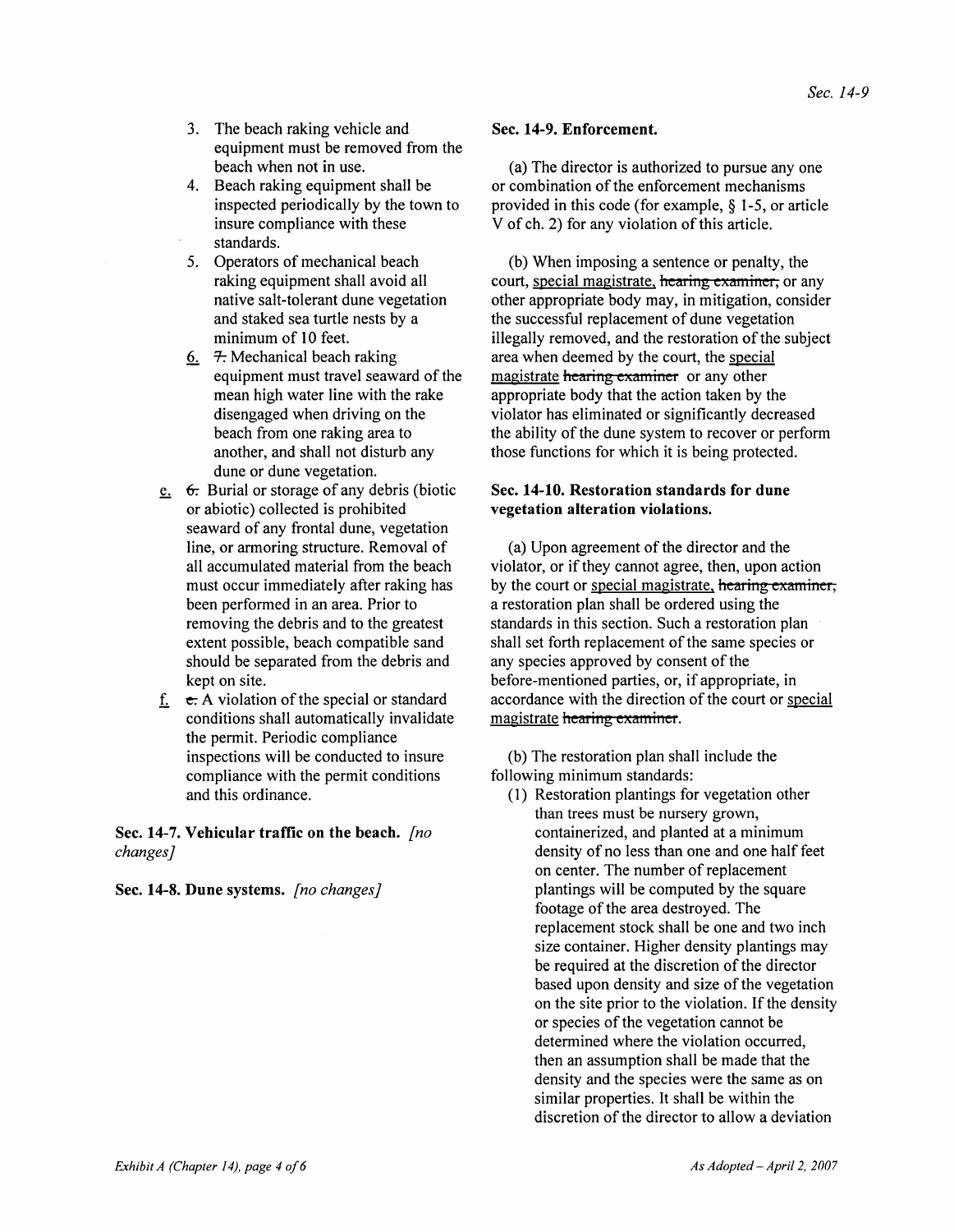- 3. The beach raking vehicle and equipment must be removed from the beach when not in use.
- 4. Beach raking equipment shall be inspected periodically by the town to insure compliance with these standards.
- 5. Operators of mechanical beach raking equipment shall avoid all native salt-tolerant dune vegetation and staked sea turtle nests by a minimum of 10 feet.
- 6.  $\pm$ : Mechanical beach raking equipment must travel seaward of the mean high water line with the rake disengaged when driving on the beach from one raking area to another, and shall not disturb any dune or dune vegetation.
- $\epsilon$ .  $\epsilon$ . Burial or storage of any debris (biotic or abiotic) collected is prohibited seaward of any frontal dune, vegetation line, or armoring structure. Removal of all accumulated material from the beach must occur immediately after raking has been performed in an area. Prior to removing the debris and to the greatest extent possible, beach compatible sand should be separated from the debris and kept on site.
- f.  $\epsilon$ . A violation of the special or standard conditions shall automatically invalidate the permit. Periodic compliance inspections will be conducted to insure compliance with the permit conditions and this ordinance.

Sec. 14-7. Vehicular traffic on the beach. *[no changes]* 

Sec. 14-8. Dune systems. *[no changes]* 

#### Sec. 14-9. Enforcement.

(a) The director is authorized to pursue anyone or combination of the enforcement mechanisms provided in this code (for example, § 1-5, or article V of ch. 2) for any violation of this article.

(b) When imposing a sentence or penalty, the court, special magistrate, hearing examiner, or any other appropriate body may, in mitigation, consider the successful replacement of dune vegetation illegally removed, and the restoration of the subject area when deemed by the court, the special magistrate hearing examiner or any other appropriate body that the action taken by the violator has eliminated or significantly decreased the ability of the dune system to recover or perform those functions for which it is being protected.

#### Sec. 14-10. Restoration standards for dune vegetation alteration violations.

(a) Upon agreement of the director and the violator, or if they cannot agree, then, upon action by the court or special magistrate, hearing examiner, a restoration plan shall be ordered using the standards in this section. Such a restoration plan shall set forth replacement of the same species or any species approved by consent of the before-mentioned parties, or, if appropriate, in accordance with the direction of the court or special magistrate hearing examiner.

(b) The restoration plan shall include the following minimum standards:

(1) Restoration plantings for vegetation other than trees must be nursery grown, containerized, and planted at a minimum density of no less than one and one half feet on center. The number of replacement plantings will be computed by the square footage of the area destroyed. The replacement stock shall be one and two inch size container. Higher density plantings may be required at the discretion of the director based upon density and size of the vegetation on the site prior to the violation. If the density or species of the vegetation cannot be determined where the violation occurred, then an assumption shall be made that the density and the species were the same as on similar properties. It shall be within the discretion of the director to allow a deviation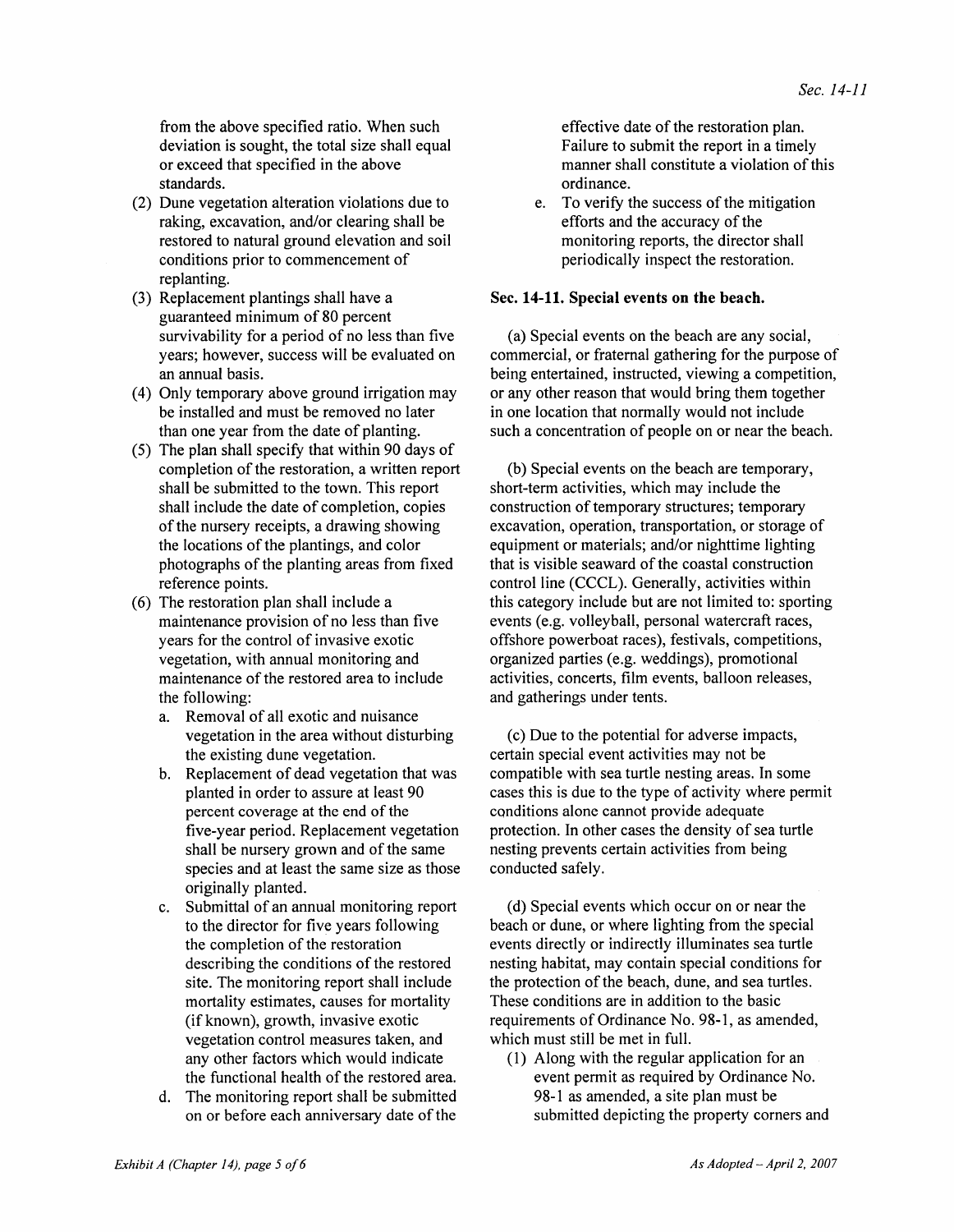from the above specified ratio. When such deviation is sought, the total size shall equal or exceed that specified in the above standards.

- (2) Dune vegetation alteration violations due to raking, excavation, and/or clearing shall be restored to natural ground elevation and soil conditions prior to commencement of replanting.
- (3) Replacement plantings shall have a guaranteed minimum of 80 percent survivability for a period of no less than five years; however, success will be evaluated on an annual basis.
- (4) Only temporary above ground irrigation may be installed and must be removed no later than one year from the date of planting.
- (5) The plan shall specify that within 90 days of completion of the restoration, a written report shall be submitted to the town. This report shall include the date of completion, copies of the nursery receipts, a drawing showing the locations of the plantings, and color photographs of the planting areas from fixed reference points.
- (6) The restoration plan shall include a maintenance provision of no less than five years for the control of invasive exotic vegetation, with annual monitoring and maintenance of the restored area to include the following:
	- a. Removal of all exotic and nuisance vegetation in the area without disturbing the existing dune vegetation.
	- b. Replacement of dead vegetation that was planted in order to assure at least 90 percent coverage at the end of the five-year period. Replacement vegetation shall be nursery grown and of the same species and at least the same size as those originally planted.
	- c. Submittal of an annual monitoring report to the director for five years following the completion of the restoration describing the conditions of the restored site. The monitoring report shall include mortality estimates, causes for mortality (if known), growth, invasive exotic vegetation control measures taken, and any other factors which would indicate the functional health of the restored area.
	- d. The monitoring report shall be submitted on or before each anniversary date of the

effective date of the restoration plan. Failure to submit the report in a timely manner shall constitute a violation of this ordinance.

e. To verify the success of the mitigation efforts and the accuracy of the monitoring reports, the director shall periodically inspect the restoration.

#### Sec. 14-11. Special events on the beach.

(a) Special events on the beach are any social, commercial, or fraternal gathering for the purpose of being entertained, instructed, viewing a competition, or any other reason that would bring them together in one location that normally would not include such a concentration of people on or near the beach.

(b) Special events on the beach are temporary, short-term activities, which may include the construction of temporary structures; temporary excavation, operation, transportation, or storage of equipment or materials; and/or nighttime lighting that is visible seaward of the coastal construction control line (CCCL). Generally, activities within this category include but are not limited to: sporting events (e.g. volleyball, personal watercraft races, offshore powerboat races), festivals, competitions, organized parties (e.g. weddings), promotional activities, concerts, film events, balloon releases, and gatherings under tents.

( c) Due to the potential for adverse impacts, certain special event activities may not be compatible with sea turtle nesting areas. In some cases this is due to the type of activity where permit conditions alone cannot provide adequate protection. In other cases the density of sea turtle nesting prevents certain activities from being conducted safely.

(d) Special events which occur on or near the beach or dune, or where lighting from the special events directly or indirectly illuminates sea turtle nesting habitat, may contain special conditions for the protection of the beach, dune, and sea turtles. These conditions are in addition to the basic requirements of Ordinance No. 98-1, as amended, which must still be met in full.

(I) Along with the regular application for an event permit as required by Ordinance No. 98-1 as amended, a site plan must be submitted depicting the property corners and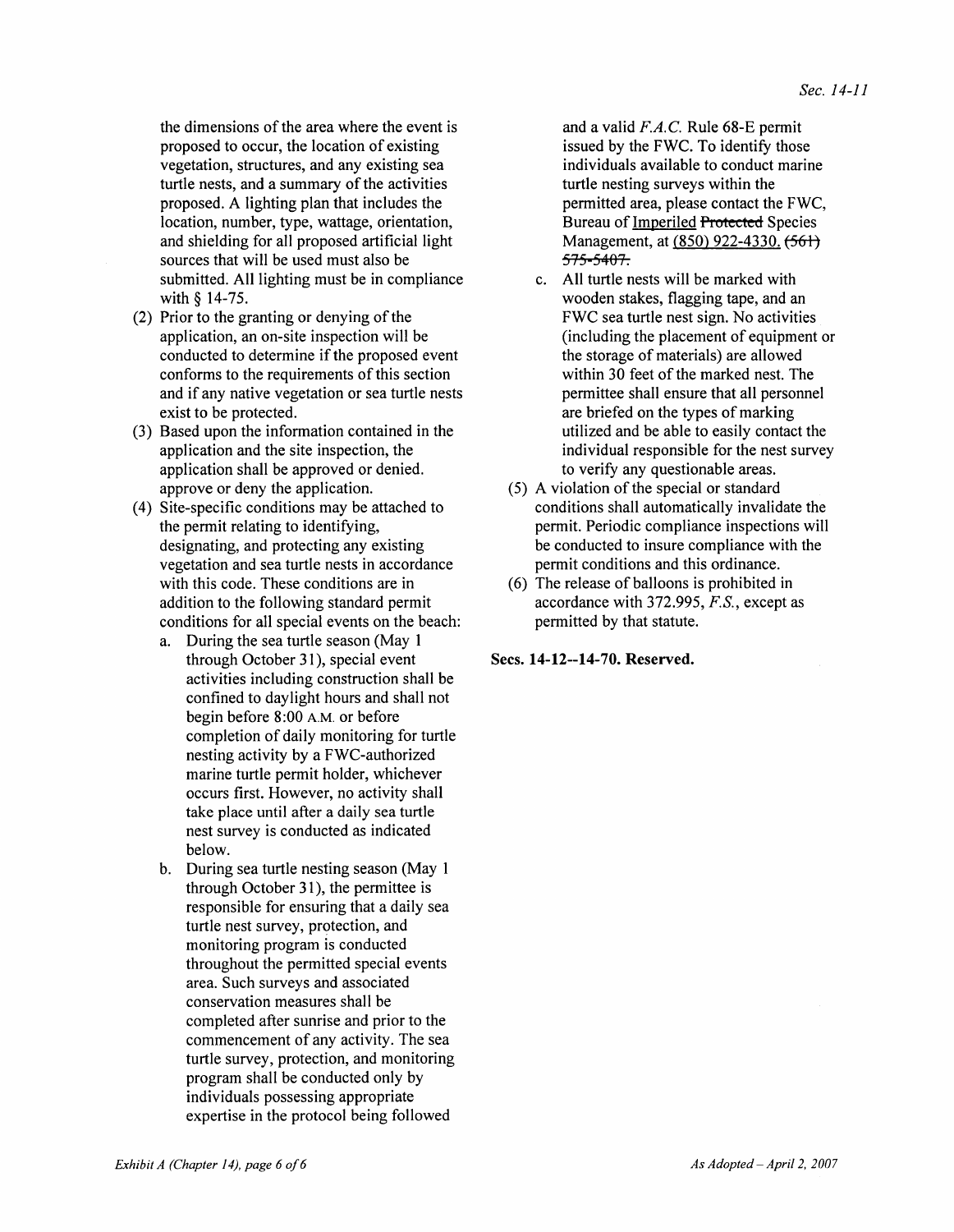the dimensions of the area where the event is proposed to occur, the location of existing vegetation, structures, and any existing sea turtle nests, and a summary of the activities proposed. A lighting plan that includes the location, number, type, wattage, orientation, and shielding for all proposed artificial light sources that will be used must also be submitted. All lighting must be in compliance with § 14-75.

- (2) Prior to the granting or denying of the application, an on-site inspection will be conducted to determine if the proposed event conforms to the requirements of this section and if any native vegetation or sea turtle nests exist to be protected.
- (3) Based upon the information contained in the application and the site inspection, the application shall be approved or denied. approve or deny the application.
- (4) Site-specific conditions may be attached to the permit relating to identifying, designating, and protecting any existing vegetation and sea turtle nests in accordance with this code. These conditions are in addition to the following standard permit conditions for all special events on the beach:
	- a. During the sea turtle season (May 1 through October 31), special event activities including construction shall be confined to day light hours and shall not begin before 8:00 A.M. or before completion of daily monitoring for turtle nesting activity by a FWC-authorized marine turtle permit holder, whichever occurs first. However, no activity shall take place until after a daily sea turtle nest survey is conducted as indicated below.
	- b. During sea turtle nesting season (May 1 through October 31), the permittee is responsible for ensuring that a daily sea turtle nest survey, protection, and monitoring program is conducted throughout the permitted special events area. Such surveys and associated conservation measures shall be completed after sunrise and prior to the commencement of any activity. The sea turtle survey, protection, and monitoring program shall be conducted only by individuals possessing appropriate expertise in the protocol being followed

and a valid *FA.C.* Rule 68-E permit issued by the FWC. To identify those individuals available to conduct marine turtle nesting surveys within the permitted area, please contact the FWC, Bureau of Imperiled Protected Species Management, at (850) 922-4330, <del>(561)</del> 575 5407.

- c. All turtle nests will be marked with wooden stakes, flagging tape, and an FWC sea turtle nest sign. No activities (including the placement of equipment or the storage of materials) are allowed within 30 feet of the marked nest. The permittee shall ensure that all personnel are briefed on the types of marking utilized and be able to easily contact the individual responsible for the nest survey to verify any questionable areas.
- (5) A violation of the special or standard conditions shall automatically invalidate the permit. Periodic compliance inspections will be conducted to insure compliance with the permit conditions and this ordinance.
- (6) The release of balloons is prohibited in accordance with 372.995, *F.S.*, except as permitted by that statute.

Sees. 14-12--14-70. Reserved.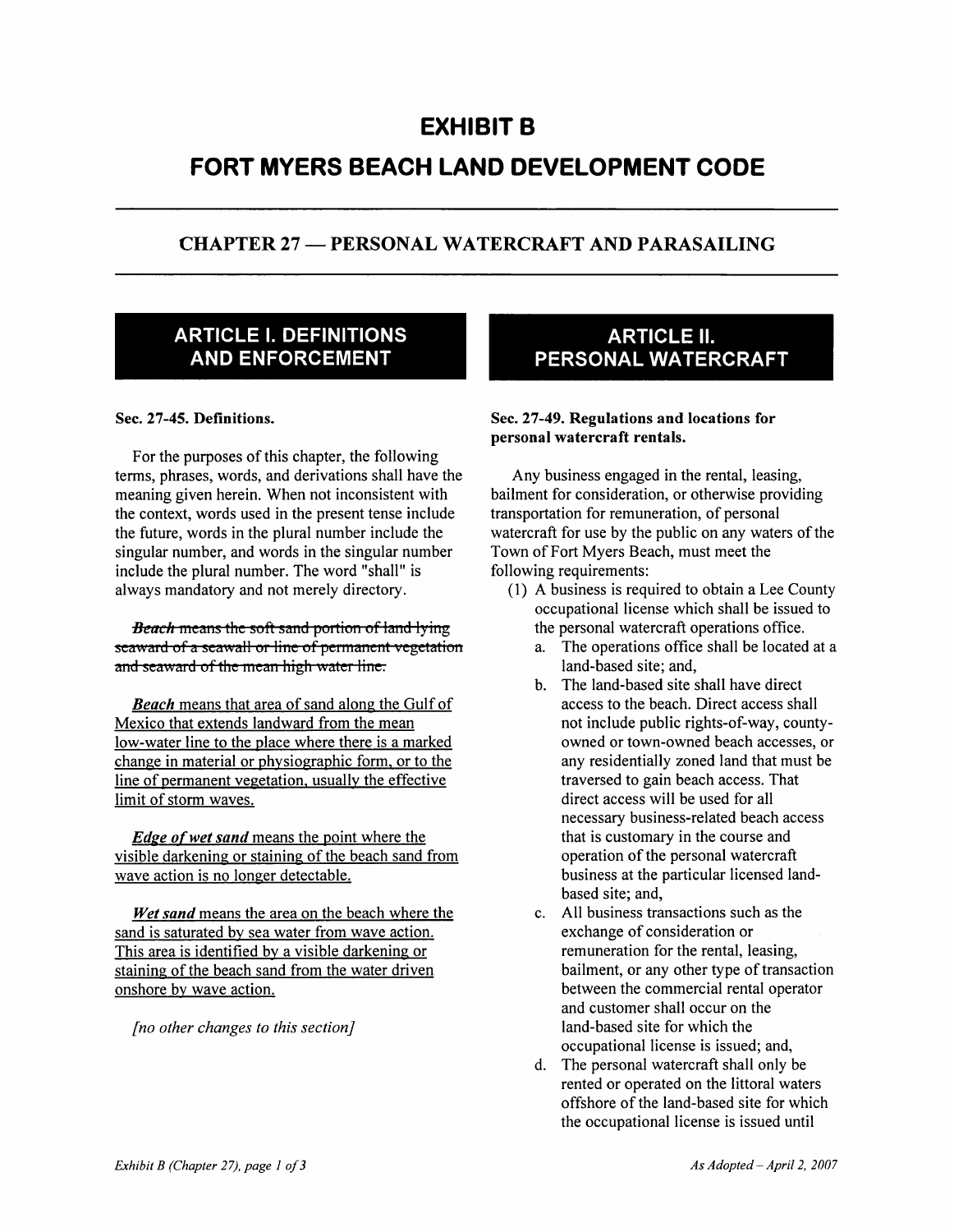## **EXHIBIT B**

# **FORT MYERS BEACH LAND DEVELOPMENT CODE**

### CHAPTER 27 - PERSONAL WATERCRAFT AND PARASAILING

### **ARTICLE I. DEFINITIONS AND ENFORCEMENT**

#### Sec. 27-45. Definitions.

For the purposes of this chapter, the following terms, phrases, words, and derivations shall have the meaning given herein. When not inconsistent with the context, words used in the present tense include the future, words in the plural number include the singular number, and words in the singular number include the plural number. The word "shall" is always mandatory and not merely directory.

*Beach* means the soft sand portion of land lying seaward of a seawall or line of permanent vegetation and seaward of the mean high water line.

**Beach** means that area of sand along the Gulf of Mexico that extends landward from the mean low-water line to the place where there is a marked change in material or physiographic form. or to the line of permanent vegetation. usually the effective limit of storm waves.

*Edge of wet sand* means the point where the visible darkening or staining of the beach sand from wave action is no longer detectable.

*Wet sand* means the area on the beach where the sand is saturated by sea water from wave action. This area is identified by a visible darkening or staining of the beach sand from the water driven onshore by wave action.

*[no other changes to this section]* 

### **ARTICLE II. PERSONAL WATERCRAFT**

#### Sec. 27-49. Regulations and locations for personal watercraft rentals.

Any business engaged in the rental, leasing, bailment for consideration, or otherwise providing transportation for remuneration, of personal watercraft for use by the public on any waters of the Town of Fort Myers Beach, must meet the following requirements:

- (1) A business is required to obtain a Lee County occupational license which shall be issued to the personal watercraft operations office.
	- a. The operations office shall be located at a land-based site; and,
	- b. The land-based site shall have direct access to the beach. Direct access shall not include public rights-of-way, countyowned or town-owned beach accesses, or any residentially zoned land that must be traversed to gain beach access. That direct access will be used for all necessary business-related beach access that is customary in the course and operation of the personal watercraft business at the particular licensed landbased site; and,
	- c. All business transactions such as the exchange of consideration or remuneration for the rental, leasing, bailment, or any other type of transaction between the commercial rental operator and customer shall occur on the land-based site for which the occupational license is issued; and,
	- d. The personal watercraft shall only be rented or operated on the littoral waters offshore of the land-based site for which the occupational license is issued until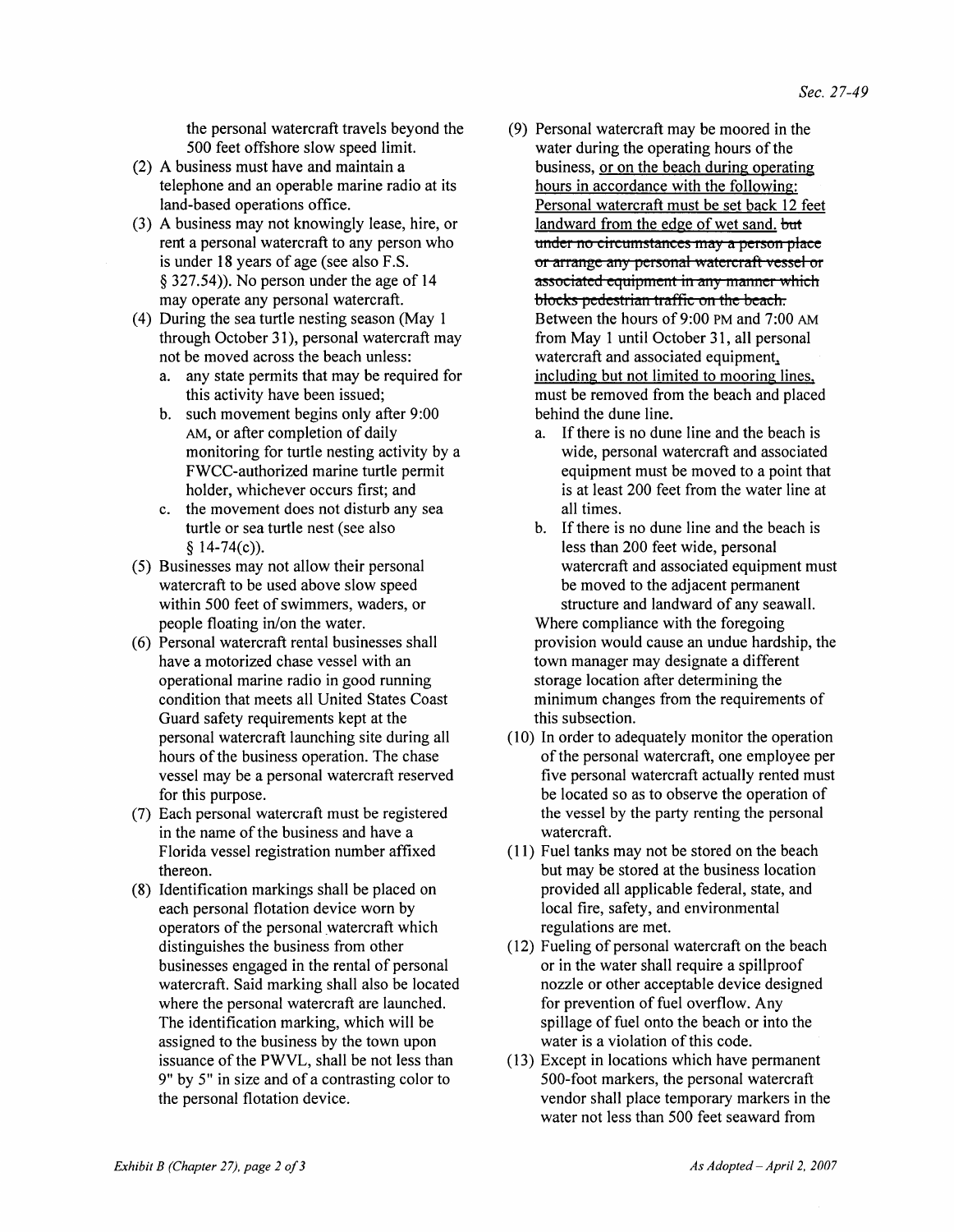the personal watercraft travels beyond the 500 feet offshore slow speed limit.

- (2) A business must have and maintain a telephone and an operable marine radio at its land-based operations office.
- (3) A business may not knowingly lease, hire, or rent a personal watercraft to any person who is under 18 years of age (see also F.S. § 327.54)). No person under the age of 14 may operate any personal watercraft.
- (4) During the sea turtle nesting season (May 1 through October 31), personal watercraft may not be moved across the beach unless:
	- a. any state permits that may be required for this activity have been issued;
	- b. such movement begins only after 9:00 AM, or after completion of daily monitoring for turtle nesting activity by a FWCC-authorized marine turtle permit holder, whichever occurs first; and
	- c. the movement does not disturb any sea turtle or sea turtle nest (see also  $$14-74(c)$ ).
- (5) Businesses may not allow their personal watercraft to be used above slow speed within 500 feet of swimmers, waders, or people floating in/on the water.
- (6) Personal watercraft rental businesses shall have a motorized chase vessel with an operational marine radio in good running condition that meets all United States Coast Guard safety requirements kept at the personal watercraft launching site during all hours of the business operation. The chase vessel may be a personal watercraft reserved for this purpose.
- (7) Each personal watercraft must be registered in the name of the business and have a Florida vessel registration number affixed thereon.
- (8) Identification markings shall be placed on each personal flotation device worn by operators of the personal watercraft which distinguishes the business from other businesses engaged in the rental of personal watercraft. Said marking shall also be located where the personal watercraft are launched. The identification marking, which will be assigned to the business by the town upon issuance of the PWVL, shall be not less than 9" by 5" in size and of a contrasting color to the personal flotation device.
- (9) Personal watercraft may be moored in the water during the operating hours of the business, or on the beach during operating hours in accordance with the following: Personal watercraft must be set back 12 feet landward from the edge of wet sand. but under no circumstances may a person place or arrange any personal watercraft vessel or associated equipment in any manner which blocks pedestrian traffic on the beach. Between the hours of 9:00 PM and 7:00 AM from May 1 until October 31, all personal watercraft and associated equipment. including but not limited to mooring lines. must be removed from the beach and placed behind the dune line.
	- a. If there is no dune line and the beach is wide, personal watercraft and associated equipment must be moved to a point that is at least 200 feet from the water line at all times.
	- b. If there is no dune line and the beach is less than 200 feet wide, personal watercraft and associated equipment must be moved to the adjacent permanent structure and landward of any seawall. Where compliance with the foregoing provision would cause an undue hardship, the town manager may designate a different storage location after determining the minimum changes from the requirements of this subsection.
- (10) In order to adequately monitor the operation of the personal watercraft, one employee per five personal watercraft actually rented must be located so as to observe the operation of the vessel by the party renting the personal watercraft.
- (11) Fuel tanks may not be stored on the beach but may be stored at the business location provided all applicable federal, state, and local fire, safety, and environmental regulations are met.
- (12) Fueling of personal watercraft on the beach or in the water shall require a spillproof nozzle or other acceptable device designed for prevention of fuel overflow. Any spillage of fuel onto the beach or into the water is a violation of this code.
- (13) Except in locations which have permanent 500-foot markers, the personal watercraft vendor shall place temporary markers in the water not less than 500 feet seaward from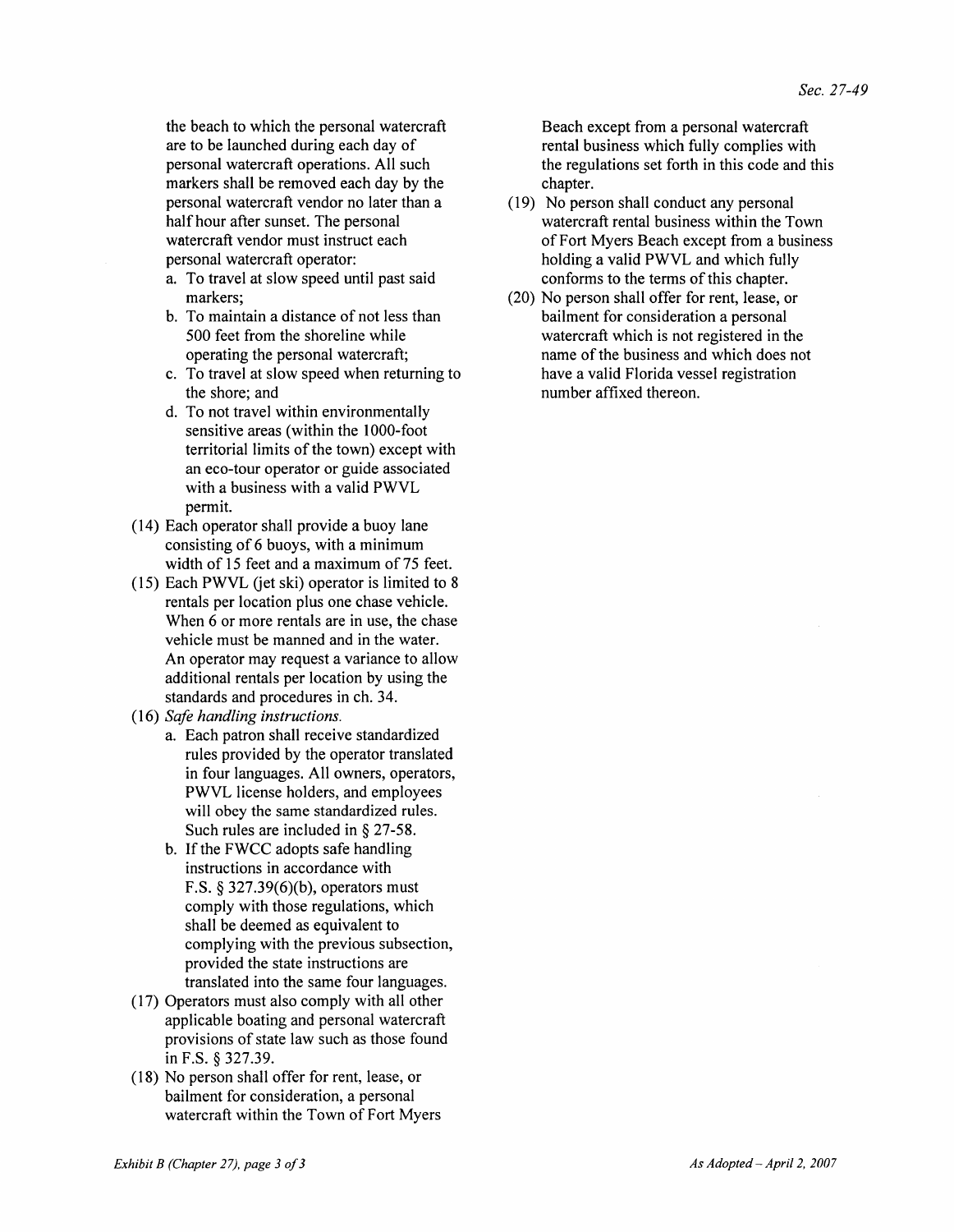the beach to which the personal watercraft are to be launched during each day of personal watercraft operations. All such markers shall be removed each day by the personal watercraft vendor no later than a half hour after sunset. The personal watercraft vendor must instruct each personal watercraft operator:

- a. To travel at slow speed until past said markers;
- b. To maintain a distance of not less than 500 feet from the shoreline while operating the personal watercraft;
- c. To travel at slow speed when returning to the shore; and
- d. To not travel within environmentally sensitive areas (within the 1000-foot territorial limits of the town) except with an eco-tour operator or guide associated with a business with a valid PWVL permit.
- (14) Each operator shall provide a buoy lane consisting of 6 buoys, with a minimum width of 15 feet and a maximum of 75 feet.
- (15) Each PWVL (jet ski) operator is limited to  $8$ rentals per location plus one chase vehicle. When 6 or more rentals are in use, the chase vehicle must be manned and in the water. An operator may request a variance to allow additional rentals per location by using the standards and procedures in ch. 34.
- *(16) Safe handling instructions.* 
	- a. Each patron shall receive standardized rules provided by the operator translated in four languages. All owners, operators, PWVL license holders, and employees will obey the same standardized rules. Such rules are included in § 27-58.
	- b. If the FWCC adopts safe handling instructions in accordance with F.S. § 327.39(6)(b), operators must comply with those regulations, which shall be deemed as equivalent to complying with the previous subsection, provided the state instructions are translated into the same four languages.
- (17) Operators must also comply with all other applicable boating and personal watercraft provisions of state law such as those found in F.S. § 327.39.
- (18) No person shall offer for rent, lease, or bailment for consideration, a personal watercraft within the Town of Fort Myers

Beach except from a personal watercraft rental business which fully complies with the regulations set forth in this code and this chapter.

- (19) No person shall conduct any personal watercraft rental business within the Town of Fort Myers Beach except from a business holding a valid PWVL and which fully conforms to the terms of this chapter.
- (20) No person shall offer for rent, lease, or bailment for consideration a personal watercraft which is not registered in the name of the business and which does not have a valid Florida vessel registration number affixed thereon.